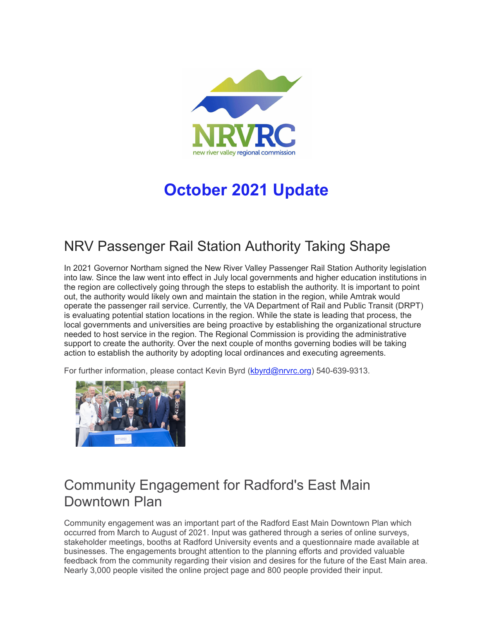

# **October 2021 Update**

# NRV Passenger Rail Station Authority Taking Shape

In 2021 Governor Northam signed the New River Valley Passenger Rail Station Authority legislation into law. Since the law went into effect in July local governments and higher education institutions in the region are collectively going through the steps to establish the authority. It is important to point out, the authority would likely own and maintain the station in the region, while Amtrak would operate the passenger rail service. Currently, the VA Department of Rail and Public Transit (DRPT) is evaluating potential station locations in the region. While the state is leading that process, the local governments and universities are being proactive by establishing the organizational structure needed to host service in the region. The Regional Commission is providing the administrative support to create the authority. Over the next couple of months governing bodies will be taking action to establish the authority by adopting local ordinances and executing agreements.

For further information, please contact Kevin Byrd ([kbyrd@nrvrc.org](mailto:kbyrd@nrvrc.org)) 540-639-9313.



### Community Engagement for Radford's East Main Downtown Plan

Community engagement was an important part of the Radford East Main Downtown Plan which occurred from March to August of 2021. Input was gathered through a series of online surveys, stakeholder meetings, booths at Radford University events and a questionnaire made available at businesses. The engagements brought attention to the planning efforts and provided valuable feedback from the community regarding their vision and desires for the future of the East Main area. Nearly 3,000 people visited the online project page and 800 people provided their input.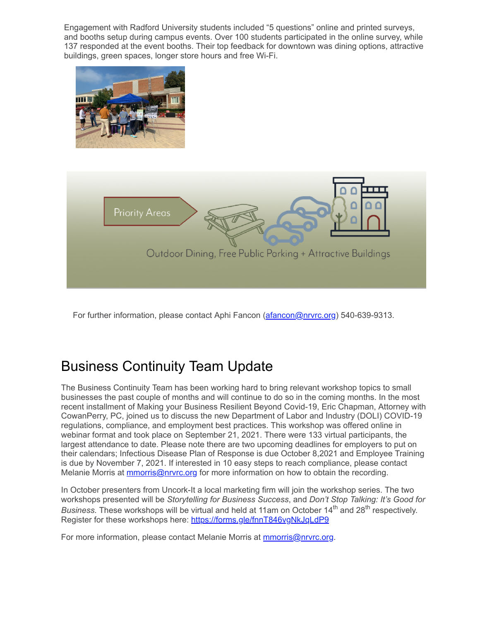Engagement with Radford University students included "5 questions" online and printed surveys, and booths setup during campus events. Over 100 students participated in the online survey, while 137 responded at the event booths. Their top feedback for downtown was dining options, attractive buildings, green spaces, longer store hours and free Wi-Fi.





For further information, please contact Aphi Fancon ([afancon@nrvrc.org\)](mailto:afancon@nrvrc.org) 540-639-9313.

## Business Continuity Team Update

The Business Continuity Team has been working hard to bring relevant workshop topics to small businesses the past couple of months and will continue to do so in the coming months. In the most recent installment of Making your Business Resilient Beyond Covid-19, Eric Chapman, Attorney with CowanPerry, PC, joined us to discuss the new Department of Labor and Industry (DOLI) COVID-19 regulations, compliance, and employment best practices. This workshop was offered online in webinar format and took place on September 21, 2021. There were 133 virtual participants, the largest attendance to date. Please note there are two upcoming deadlines for employers to put on their calendars; Infectious Disease Plan of Response is due October 8,2021 and Employee Training is due by November 7, 2021. If interested in 10 easy steps to reach compliance, please contact Melanie Morris at [mmorris@nrvrc.org](mailto:mmorris@nrvrc.org) for more information on how to obtain the recording.

In October presenters from Uncork-It a local marketing firm will join the workshop series. The two workshops presented will be *Storytelling for Business Success*, and *Don't Stop Talking: It's Good for Business*. These workshops will be virtual and held at 11am on October 14<sup>th</sup> and 28<sup>th</sup> respectively. Register for these workshops here: [https://forms.gle/fnnT846vgNkJqLdP9](https://r20.rs6.net/tn.jsp?f=001Gy8r2pV2LI22cZ90lmD7jWmy0P3h47VDEzNFU7cHfywkgK_boaboX5Xf6oM8tQceureJG0DVmIsx-d6NysiPXCn_iIyqD22N9a8n5dhM_urVLP96v3ezpI4F2L93SeEIEjmsmPvJdUGhARvswdvZMvuwGBCfPivK&c=V1isXThnFjuwKpxjGZNweSOffsbWyozD_STp7iKSL7ZtBRraT9BaqA==&ch=U_xv9RA4YTHdv5pX5gweaB6k68vCz0zGsYCSImRi17gm8ShrxD0cGg==)

For more information, please contact Melanie Morris at [mmorris@nrvrc.org.](mailto:mmorris@nrvrc.org)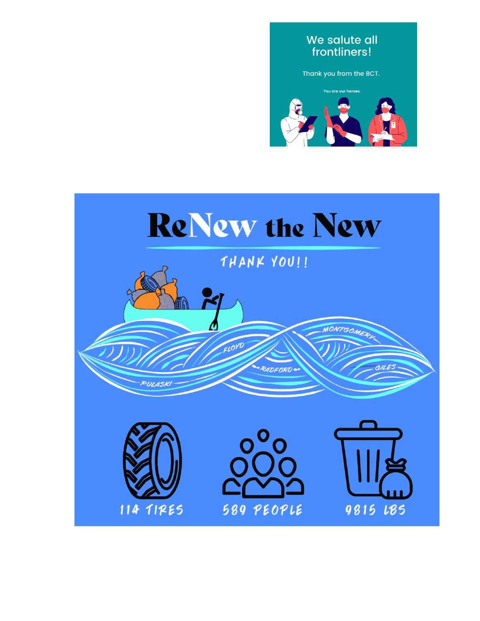#### We salute all frontliners!

Thank you from the BCT.